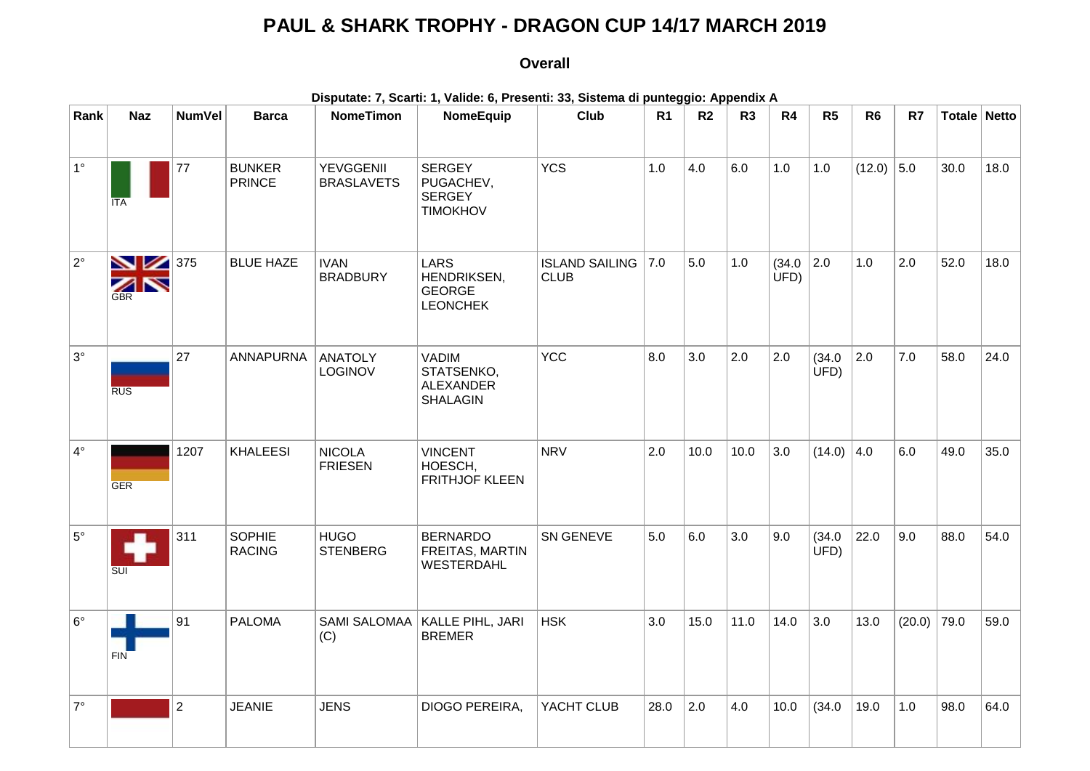## **PAUL & SHARK TROPHY - DRAGON CUP 14/17 MARCH 2019**

## **Overall**

| Disputate: 7, Scarti: 1, Valide: 6, Presenti: 33, Sistema di punteggio: Appendix A |                         |                |                                |                                       |                                                                   |                                          |                |                |                |               |                |                |        |              |      |
|------------------------------------------------------------------------------------|-------------------------|----------------|--------------------------------|---------------------------------------|-------------------------------------------------------------------|------------------------------------------|----------------|----------------|----------------|---------------|----------------|----------------|--------|--------------|------|
| Rank                                                                               | <b>Naz</b>              | <b>NumVel</b>  | <b>Barca</b>                   | <b>NomeTimon</b>                      | NomeEquip                                                         | Club                                     | R <sub>1</sub> | R <sub>2</sub> | R <sub>3</sub> | R4            | R <sub>5</sub> | R <sub>6</sub> | R7     | Totale Netto |      |
| $1^{\circ}$                                                                        | <b>ITA</b>              | 77             | <b>BUNKER</b><br><b>PRINCE</b> | <b>YEVGGENII</b><br><b>BRASLAVETS</b> | <b>SERGEY</b><br>PUGACHEV,<br><b>SERGEY</b><br><b>TIMOKHOV</b>    | <b>YCS</b>                               | 1.0            | 4.0            | 6.0            | 1.0           | 1.0            | $(12.0)$ 5.0   |        | 30.0         | 18.0 |
| $2^{\circ}$                                                                        | 375<br>ZN<br><b>GBR</b> |                | <b>BLUE HAZE</b>               | <b>IVAN</b><br><b>BRADBURY</b>        | <b>LARS</b><br>HENDRIKSEN,<br><b>GEORGE</b><br><b>LEONCHEK</b>    | <b>ISLAND SAILING 7.0</b><br><b>CLUB</b> |                | 5.0            | 1.0            | (34.0)<br>UFD | 2.0            | 1.0            | 2.0    | 52.0         | 18.0 |
| $3^\circ$                                                                          | <b>RUS</b>              | 27             | <b>ANNAPURNA</b>               | <b>ANATOLY</b><br>LOGINOV             | <b>VADIM</b><br>STATSENKO,<br><b>ALEXANDER</b><br><b>SHALAGIN</b> | <b>YCC</b>                               | 8.0            | 3.0            | 2.0            | 2.0           | (34.0)<br>UFD) | 2.0            | 7.0    | 58.0         | 24.0 |
| $4^\circ$                                                                          | <b>GER</b>              | 1207           | <b>KHALEESI</b>                | <b>NICOLA</b><br><b>FRIESEN</b>       | <b>VINCENT</b><br>HOESCH,<br><b>FRITHJOF KLEEN</b>                | <b>NRV</b>                               | 2.0            | 10.0           | 10.0           | 3.0           | $(14.0)$ 4.0   |                | 6.0    | 49.0         | 35.0 |
| $5^{\circ}$                                                                        | SUI                     | 311            | <b>SOPHIE</b><br><b>RACING</b> | <b>HUGO</b><br><b>STENBERG</b>        | <b>BERNARDO</b><br>FREITAS, MARTIN<br><b>WESTERDAHL</b>           | SN GENEVE                                | 5.0            | 6.0            | 3.0            | 9.0           | (34.0)<br>UFD) | 22.0           | 9.0    | 88.0         | 54.0 |
| $6^{\circ}$                                                                        | <b>FIN</b>              | 91             | <b>PALOMA</b>                  | SAMI SALOMAA<br>(C)                   | KALLE PIHL, JARI<br><b>BREMER</b>                                 | <b>HSK</b>                               | 3.0            | 15.0           | 11.0           | 14.0          | 3.0            | 13.0           | (20.0) | 79.0         | 59.0 |
| $7^\circ$                                                                          |                         | $\overline{2}$ | <b>JEANIE</b>                  | <b>JENS</b>                           | DIOGO PEREIRA,                                                    | YACHT CLUB                               | 28.0           | 2.0            | 4.0            | 10.0          | (34.0)         | 19.0           | 1.0    | 98.0         | 64.0 |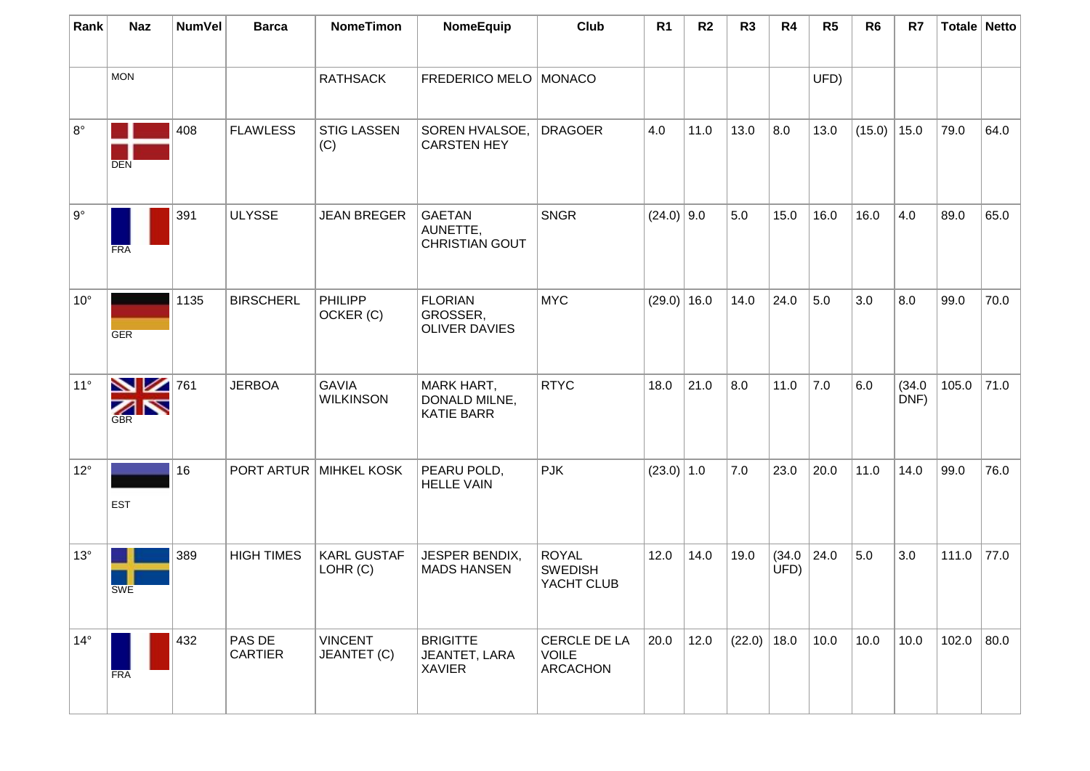| Rank         | <b>Naz</b>                         | <b>NumVel</b> | <b>Barca</b>             | <b>NomeTimon</b>                 | NomeEquip                                               | Club                                         | R <sub>1</sub> | R <sub>2</sub> | R <sub>3</sub> | R4             | R5   | R <sub>6</sub> | R7             | Totale Netto |      |
|--------------|------------------------------------|---------------|--------------------------|----------------------------------|---------------------------------------------------------|----------------------------------------------|----------------|----------------|----------------|----------------|------|----------------|----------------|--------------|------|
|              | <b>MON</b>                         |               |                          | <b>RATHSACK</b>                  | FREDERICO MELO   MONACO                                 |                                              |                |                |                |                | UFD) |                |                |              |      |
| $8^{\circ}$  | <b>DEN</b>                         | 408           | <b>FLAWLESS</b>          | <b>STIG LASSEN</b><br>(C)        | SOREN HVALSOE,<br><b>CARSTEN HEY</b>                    | <b>DRAGOER</b>                               | 4.0            | 11.0           | 13.0           | 8.0            | 13.0 | (15.0)         | 15.0           | 79.0         | 64.0 |
| $9^{\circ}$  | <b>FRA</b>                         | 391           | <b>ULYSSE</b>            | <b>JEAN BREGER</b>               | <b>GAETAN</b><br>AUNETTE,<br><b>CHRISTIAN GOUT</b>      | <b>SNGR</b>                                  | $(24.0)$ 9.0   |                | 5.0            | 15.0           | 16.0 | 16.0           | 4.0            | 89.0         | 65.0 |
| $10^{\circ}$ | <b>GER</b>                         | 1135          | <b>BIRSCHERL</b>         | PHILIPP<br>OCKER (C)             | <b>FLORIAN</b><br>GROSSER,<br><b>OLIVER DAVIES</b>      | <b>MYC</b>                                   | $(29.0)$ 16.0  |                | 14.0           | 24.0           | 5.0  | 3.0            | 8.0            | 99.0         | 70.0 |
| $11^{\circ}$ | $\blacksquare$<br>ZN<br><b>GBR</b> | 761           | <b>JERBOA</b>            | <b>GAVIA</b><br><b>WILKINSON</b> | <b>MARK HART,</b><br>DONALD MILNE,<br><b>KATIE BARR</b> | <b>RTYC</b>                                  | 18.0           | 21.0           | 8.0            | 11.0           | 7.0  | 6.0            | (34.0)<br>DNF) | 105.0        | 71.0 |
| $12^{\circ}$ | <b>EST</b>                         | 16            | PORT ARTUR               | <b>MIHKEL KOSK</b>               | PEARU POLD,<br><b>HELLE VAIN</b>                        | <b>PJK</b>                                   | $(23.0)$ 1.0   |                | 7.0            | 23.0           | 20.0 | 11.0           | 14.0           | 99.0         | 76.0 |
| $13^\circ$   | SWE                                | 389           | <b>HIGH TIMES</b>        | <b>KARL GUSTAF</b><br>LOHR (C)   | JESPER BENDIX,<br><b>MADS HANSEN</b>                    | <b>ROYAL</b><br><b>SWEDISH</b><br>YACHT CLUB | 12.0           | 14.0           | 19.0           | (34.0)<br>UFD) | 24.0 | 5.0            | 3.0            | 111.0        | 77.0 |
| $14^{\circ}$ | <b>FRA</b>                         | 432           | PAS DE<br><b>CARTIER</b> | <b>VINCENT</b><br>JEANTET (C)    | <b>BRIGITTE</b><br>JEANTET, LARA<br><b>XAVIER</b>       | CERCLE DE LA<br><b>VOILE</b><br>ARCACHON     | 20.0           | 12.0           | (22.0)         | 18.0           | 10.0 | 10.0           | 10.0           | 102.0        | 80.0 |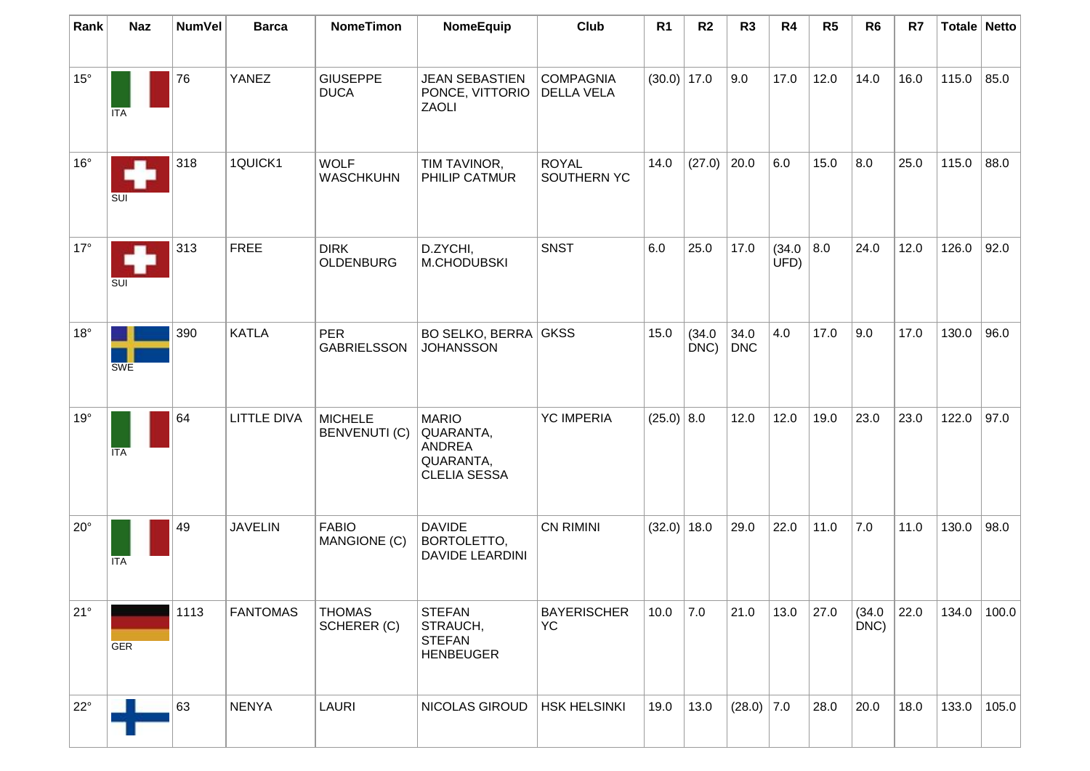| Rank         | <b>Naz</b> | <b>NumVel</b> | <b>Barca</b>       | <b>NomeTimon</b>                       | NomeEquip                                                                      | Club                                  | R <sub>1</sub> | R <sub>2</sub> | R <sub>3</sub> | R4             | R <sub>5</sub> | R <sub>6</sub>    | R7   |       | Totale Netto |
|--------------|------------|---------------|--------------------|----------------------------------------|--------------------------------------------------------------------------------|---------------------------------------|----------------|----------------|----------------|----------------|----------------|-------------------|------|-------|--------------|
|              |            |               |                    |                                        |                                                                                |                                       |                |                |                |                |                |                   |      |       |              |
| $15^{\circ}$ | ITA        | 76            | YANEZ              | <b>GIUSEPPE</b><br><b>DUCA</b>         | <b>JEAN SEBASTIEN</b><br>PONCE, VITTORIO<br>ZAOLI                              | <b>COMPAGNIA</b><br><b>DELLA VELA</b> | $(30.0)$ 17.0  |                | 9.0            | 17.0           | 12.0           | 14.0              | 16.0 | 115.0 | 85.0         |
| $16^{\circ}$ | SUI        | 318           | 1QUICK1            | <b>WOLF</b><br><b>WASCHKUHN</b>        | TIM TAVINOR,<br>PHILIP CATMUR                                                  | <b>ROYAL</b><br>SOUTHERN YC           | 14.0           | (27.0)         | 20.0           | 6.0            | 15.0           | 8.0               | 25.0 | 115.0 | 88.0         |
| $17^\circ$   | SUI        | 313           | <b>FREE</b>        | <b>DIRK</b><br><b>OLDENBURG</b>        | D.ZYCHI,<br>M.CHODUBSKI                                                        | <b>SNST</b>                           | 6.0            | 25.0           | 17.0           | (34.0)<br>UFD) | 8.0            | 24.0              | 12.0 | 126.0 | 92.0         |
| $18^{\circ}$ | <b>SWE</b> | 390           | <b>KATLA</b>       | <b>PER</b><br><b>GABRIELSSON</b>       | <b>BO SELKO, BERRA GKSS</b><br><b>JOHANSSON</b>                                |                                       | 15.0           | (34.0)<br>DNC) | 34.0<br>DNC    | 4.0            | 17.0           | 9.0               | 17.0 | 130.0 | 96.0         |
| $19^{\circ}$ | ITA        | 64            | <b>LITTLE DIVA</b> | <b>MICHELE</b><br><b>BENVENUTI (C)</b> | <b>MARIO</b><br>QUARANTA,<br><b>ANDREA</b><br>QUARANTA,<br><b>CLELIA SESSA</b> | <b>YC IMPERIA</b>                     | (25.0)   8.0   |                | 12.0           | 12.0           | 19.0           | 23.0              | 23.0 | 122.0 | 97.0         |
| $20^{\circ}$ | ITA        | 49            | <b>JAVELIN</b>     | <b>FABIO</b><br>MANGIONE (C)           | <b>DAVIDE</b><br>BORTOLETTO,<br><b>DAVIDE LEARDINI</b>                         | <b>CN RIMINI</b>                      | $(32.0)$ 18.0  |                | 29.0           | 22.0           | 11.0           | 7.0               | 11.0 | 130.0 | 98.0         |
| $21^{\circ}$ | <b>GER</b> | 1113          | <b>FANTOMAS</b>    | <b>THOMAS</b><br>SCHERER (C)           | <b>STEFAN</b><br>STRAUCH,<br><b>STEFAN</b><br><b>HENBEUGER</b>                 | <b>BAYERISCHER</b><br><b>YC</b>       | 10.0           | 7.0            | 21.0           | 13.0           | 27.0           | (34.0)<br>$DNC$ ) | 22.0 | 134.0 | 100.0        |
| $22^{\circ}$ |            | 63            | <b>NENYA</b>       | <b>LAURI</b>                           | NICOLAS GIROUD                                                                 | <b>HSK HELSINKI</b>                   | 19.0           | 13.0           | $(28.0)$ 7.0   |                | 28.0           | 20.0              | 18.0 | 133.0 | 105.0        |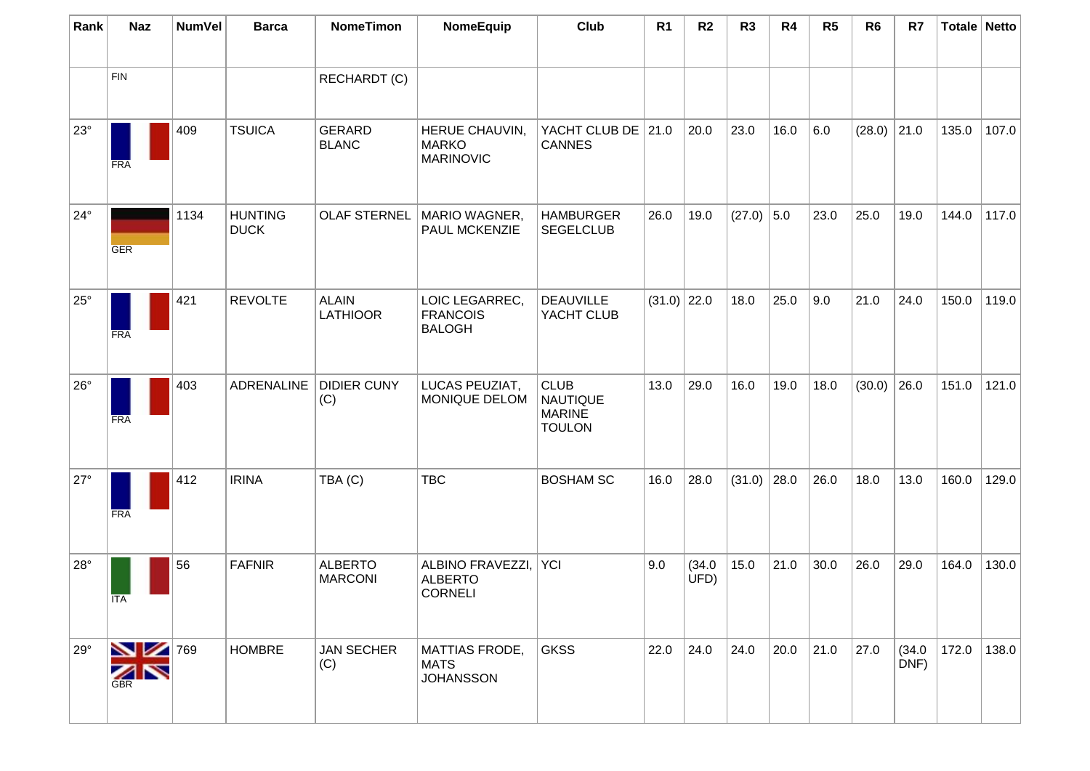| Rank         | <b>Naz</b>                     | <b>NumVel</b> | <b>Barca</b>                  | <b>NomeTimon</b>                 | NomeEquip                                            | Club                                                             | R <sub>1</sub> | R <sub>2</sub> | R <sub>3</sub> | R <sub>4</sub> | R <sub>5</sub> | R <sub>6</sub> | R7             | Totale Netto |       |
|--------------|--------------------------------|---------------|-------------------------------|----------------------------------|------------------------------------------------------|------------------------------------------------------------------|----------------|----------------|----------------|----------------|----------------|----------------|----------------|--------------|-------|
|              | <b>FIN</b>                     |               |                               | RECHARDT (C)                     |                                                      |                                                                  |                |                |                |                |                |                |                |              |       |
| $23^\circ$   | <b>FRA</b>                     | 409           | <b>TSUICA</b>                 | <b>GERARD</b><br><b>BLANC</b>    | HERUE CHAUVIN,<br><b>MARKO</b><br><b>MARINOVIC</b>   | YACHT CLUB DE 21.0<br><b>CANNES</b>                              |                | 20.0           | 23.0           | 16.0           | 6.0            | (28.0)         | 21.0           | 135.0        | 107.0 |
| $24^{\circ}$ | GER                            | 1134          | <b>HUNTING</b><br><b>DUCK</b> | <b>OLAF STERNEL</b>              | MARIO WAGNER,<br>PAUL MCKENZIE                       | <b>HAMBURGER</b><br><b>SEGELCLUB</b>                             | 26.0           | 19.0           | $(27.0)$ 5.0   |                | 23.0           | 25.0           | 19.0           | 144.0        | 117.0 |
| $25^{\circ}$ | <b>FRA</b>                     | 421           | <b>REVOLTE</b>                | <b>ALAIN</b><br><b>LATHIOOR</b>  | LOIC LEGARREC,<br><b>FRANCOIS</b><br><b>BALOGH</b>   | <b>DEAUVILLE</b><br>YACHT CLUB                                   | $(31.0)$ 22.0  |                | 18.0           | 25.0           | 9.0            | 21.0           | 24.0           | 150.0        | 119.0 |
| $26^{\circ}$ | <b>FRA</b>                     | 403           | <b>ADRENALINE</b>             | <b>DIDIER CUNY</b><br>(C)        | LUCAS PEUZIAT,<br>MONIQUE DELOM                      | <b>CLUB</b><br><b>NAUTIQUE</b><br><b>MARINE</b><br><b>TOULON</b> | 13.0           | 29.0           | 16.0           | 19.0           | 18.0           | (30.0)         | 26.0           | 151.0        | 121.0 |
| $27^\circ$   | <b>FRA</b>                     | 412           | <b>IRINA</b>                  | TBA (C)                          | <b>TBC</b>                                           | <b>BOSHAM SC</b>                                                 | 16.0           | 28.0           | (31.0)         | 28.0           | 26.0           | 18.0           | 13.0           | 160.0        | 129.0 |
| $28^\circ$   | ITA                            | 56            | <b>FAFNIR</b>                 | <b>ALBERTO</b><br><b>MARCONI</b> | ALBINO FRAVEZZI,<br><b>ALBERTO</b><br><b>CORNELI</b> | <b>YCI</b>                                                       | 9.0            | (34.0)<br>UFD) | 15.0           | 21.0           | 30.0           | 26.0           | 29.0           | 164.0        | 130.0 |
| $29^\circ$   | $\sum$ 769<br>ZN<br><b>GBR</b> |               | <b>HOMBRE</b>                 | <b>JAN SECHER</b><br>(C)         | MATTIAS FRODE,<br><b>MATS</b><br><b>JOHANSSON</b>    | <b>GKSS</b>                                                      | 22.0           | 24.0           | 24.0           | 20.0           | 21.0           | 27.0           | (34.0)<br>DNF) | 172.0        | 138.0 |